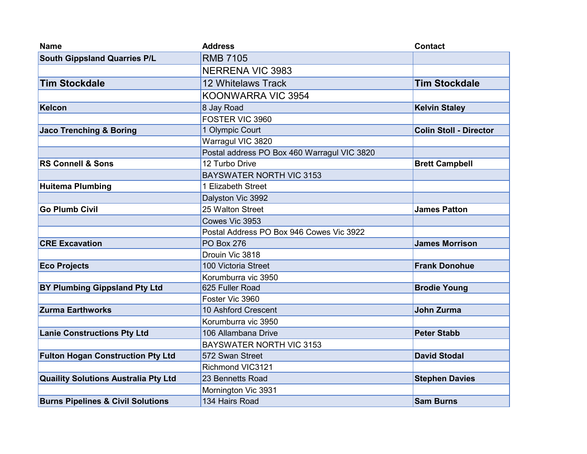| <b>Name</b>                                  | <b>Address</b>                              | <b>Contact</b>                |
|----------------------------------------------|---------------------------------------------|-------------------------------|
| <b>South Gippsland Quarries P/L</b>          | <b>RMB 7105</b>                             |                               |
|                                              | <b>NERRENA VIC 3983</b>                     |                               |
| <b>Tim Stockdale</b>                         | <b>12 Whitelaws Track</b>                   | <b>Tim Stockdale</b>          |
|                                              | KOONWARRA VIC 3954                          |                               |
| Kelcon                                       | 8 Jay Road                                  | <b>Kelvin Staley</b>          |
|                                              | FOSTER VIC 3960                             |                               |
| <b>Jaco Trenching &amp; Boring</b>           | 1 Olympic Court                             | <b>Colin Stoll - Director</b> |
|                                              | Warragul VIC 3820                           |                               |
|                                              | Postal address PO Box 460 Warragul VIC 3820 |                               |
| <b>RS Connell &amp; Sons</b>                 | 12 Turbo Drive                              | <b>Brett Campbell</b>         |
|                                              | <b>BAYSWATER NORTH VIC 3153</b>             |                               |
| <b>Huitema Plumbing</b>                      | 1 Elizabeth Street                          |                               |
|                                              | Dalyston Vic 3992                           |                               |
| <b>Go Plumb Civil</b>                        | 25 Walton Street                            | <b>James Patton</b>           |
|                                              | Cowes Vic 3953                              |                               |
|                                              | Postal Address PO Box 946 Cowes Vic 3922    |                               |
| <b>CRE Excavation</b>                        | <b>PO Box 276</b>                           | <b>James Morrison</b>         |
|                                              | Drouin Vic 3818                             |                               |
| <b>Eco Projects</b>                          | 100 Victoria Street                         | <b>Frank Donohue</b>          |
|                                              | Korumburra vic 3950                         |                               |
| <b>BY Plumbing Gippsland Pty Ltd</b>         | 625 Fuller Road                             | <b>Brodie Young</b>           |
|                                              | Foster Vic 3960                             |                               |
| <b>Zurma Earthworks</b>                      | 10 Ashford Crescent                         | <b>John Zurma</b>             |
|                                              | Korumburra vic 3950                         |                               |
| <b>Lanie Constructions Pty Ltd</b>           | 106 Allambana Drive                         | <b>Peter Stabb</b>            |
|                                              | <b>BAYSWATER NORTH VIC 3153</b>             |                               |
| <b>Fulton Hogan Construction Pty Ltd</b>     | 572 Swan Street                             | <b>David Stodal</b>           |
|                                              | Richmond VIC3121                            |                               |
| <b>Quaility Solutions Australia Pty Ltd</b>  | 23 Bennetts Road                            | <b>Stephen Davies</b>         |
|                                              | Mornington Vic 3931                         |                               |
| <b>Burns Pipelines &amp; Civil Solutions</b> | 134 Hairs Road                              | <b>Sam Burns</b>              |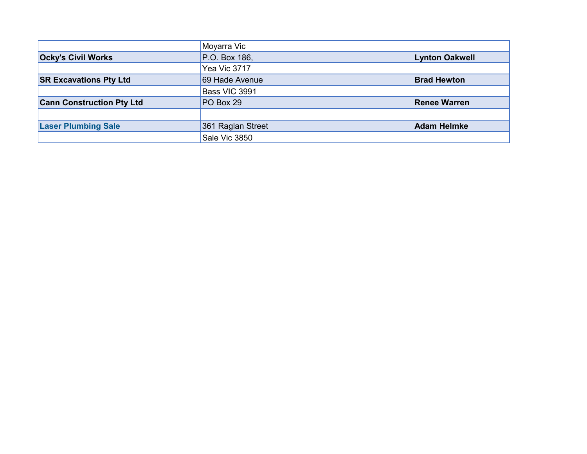|                                  | Moyarra Vic       |                       |
|----------------------------------|-------------------|-----------------------|
| <b>Ocky's Civil Works</b>        | P.O. Box 186,     | <b>Lynton Oakwell</b> |
|                                  | Yea Vic 3717      |                       |
| <b>SR Excavations Pty Ltd</b>    | 69 Hade Avenue    | <b>Brad Hewton</b>    |
|                                  | Bass VIC 3991     |                       |
| <b>Cann Construction Pty Ltd</b> | $PO$ Box 29       | <b>Renee Warren</b>   |
|                                  |                   |                       |
| <b>Laser Plumbing Sale</b>       | 361 Raglan Street | <b>Adam Helmke</b>    |
|                                  | Sale Vic 3850     |                       |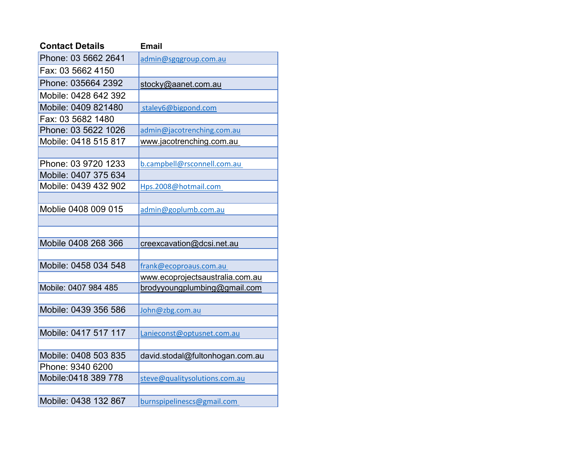| <b>Contact Details</b> | <b>Email</b>                    |
|------------------------|---------------------------------|
| Phone: 03 5662 2641    | admin@sgqgroup.com.au           |
| Fax: 03 5662 4150      |                                 |
| Phone: 035664 2392     | stocky@aanet.com.au             |
| Mobile: 0428 642 392   |                                 |
| Mobile: 0409 821480    | staley6@bigpond.com             |
| Fax: 03 5682 1480      |                                 |
| Phone: 03 5622 1026    | admin@jacotrenching.com.au      |
| Mobile: 0418 515 817   | www.jacotrenching.com.au        |
|                        |                                 |
| Phone: 03 9720 1233    | b.campbell@rsconnell.com.au     |
| Mobile: 0407 375 634   |                                 |
| Mobile: 0439 432 902   | Hps.2008@hotmail.com            |
|                        |                                 |
| Moblie 0408 009 015    | admin@goplumb.com.au            |
|                        |                                 |
|                        |                                 |
| Mobile 0408 268 366    | creexcavation@dcsi.net.au       |
|                        |                                 |
| Mobile: 0458 034 548   | frank@ecoproaus.com.au          |
|                        | www.ecoprojectsaustralia.com.au |
| Mobile: 0407 984 485   | brodyyoungplumbing@gmail.com    |
|                        |                                 |
| Mobile: 0439 356 586   | John@zbg.com.au                 |
|                        |                                 |
| Mobile: 0417 517 117   | Lanieconst@optusnet.com.au      |
|                        |                                 |
| Mobile: 0408 503 835   | david.stodal@fultonhogan.com.au |
| Phone: 9340 6200       |                                 |
| Mobile:0418 389 778    | steve@qualitysolutions.com.au   |
|                        |                                 |
| Mobile: 0438 132 867   | burnspipelinescs@gmail.com      |